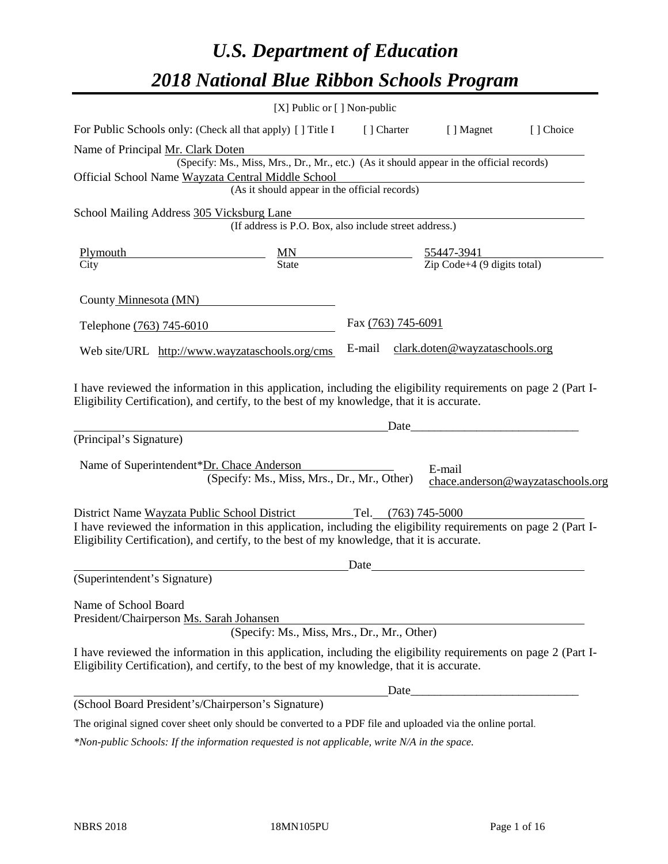# *U.S. Department of Education 2018 National Blue Ribbon Schools Program*

|                                                                                                                                                                                                              | [X] Public or [] Non-public                                                              |                     |                                                                   |                                   |
|--------------------------------------------------------------------------------------------------------------------------------------------------------------------------------------------------------------|------------------------------------------------------------------------------------------|---------------------|-------------------------------------------------------------------|-----------------------------------|
| For Public Schools only: (Check all that apply) [ ] Title I                                                                                                                                                  |                                                                                          | [ ] Charter         | [ ] Magnet                                                        | [] Choice                         |
| Name of Principal Mr. Clark Doten                                                                                                                                                                            |                                                                                          |                     |                                                                   |                                   |
|                                                                                                                                                                                                              | (Specify: Ms., Miss, Mrs., Dr., Mr., etc.) (As it should appear in the official records) |                     |                                                                   |                                   |
| Official School Name Wayzata Central Middle School                                                                                                                                                           |                                                                                          |                     |                                                                   |                                   |
|                                                                                                                                                                                                              | (As it should appear in the official records)                                            |                     |                                                                   |                                   |
| School Mailing Address 305 Vicksburg Lane                                                                                                                                                                    |                                                                                          |                     |                                                                   |                                   |
|                                                                                                                                                                                                              | (If address is P.O. Box, also include street address.)                                   |                     |                                                                   |                                   |
| <b>Plymouth</b>                                                                                                                                                                                              |                                                                                          |                     | 55447-3941                                                        |                                   |
| City                                                                                                                                                                                                         | $\frac{MN}{State}$                                                                       |                     | $\overline{Zip Code} + 4 (9 digits total)$                        |                                   |
| County Minnesota (MN)                                                                                                                                                                                        |                                                                                          |                     |                                                                   |                                   |
| Telephone (763) 745-6010                                                                                                                                                                                     |                                                                                          | Fax (763) 745-6091  |                                                                   |                                   |
| Web site/URL http://www.wayzataschools.org/cms                                                                                                                                                               |                                                                                          | E-mail              | clark.doten@wayzataschools.org                                    |                                   |
| (Principal's Signature)<br>Name of Superintendent*Dr. Chace Anderson                                                                                                                                         |                                                                                          | Date                | E-mail                                                            |                                   |
|                                                                                                                                                                                                              | (Specify: Ms., Miss, Mrs., Dr., Mr., Other)                                              |                     |                                                                   | chace.anderson@wayzataschools.org |
| District Name Wayzata Public School District                                                                                                                                                                 |                                                                                          | Tel. (763) 745-5000 |                                                                   |                                   |
| I have reviewed the information in this application, including the eligibility requirements on page 2 (Part I-<br>Eligibility Certification), and certify, to the best of my knowledge, that it is accurate. |                                                                                          |                     |                                                                   |                                   |
|                                                                                                                                                                                                              |                                                                                          | Date                |                                                                   |                                   |
| (Superintendent's Signature)                                                                                                                                                                                 |                                                                                          |                     |                                                                   |                                   |
| Name of School Board<br>President/Chairperson Ms. Sarah Johansen                                                                                                                                             | (Specify: Ms., Miss, Mrs., Dr., Mr., Other)                                              |                     |                                                                   |                                   |
| I have reviewed the information in this application, including the eligibility requirements on page 2 (Part I-<br>Eligibility Certification), and certify, to the best of my knowledge, that it is accurate. |                                                                                          |                     |                                                                   |                                   |
|                                                                                                                                                                                                              |                                                                                          | Date                | <u> 1989 - Johann John Stone, mars eta biztanleria (h. 1989).</u> |                                   |
| (School Board President's/Chairperson's Signature)                                                                                                                                                           |                                                                                          |                     |                                                                   |                                   |
| The original signed cover sheet only should be converted to a PDF file and uploaded via the online portal.                                                                                                   |                                                                                          |                     |                                                                   |                                   |

*\*Non-public Schools: If the information requested is not applicable, write N/A in the space.*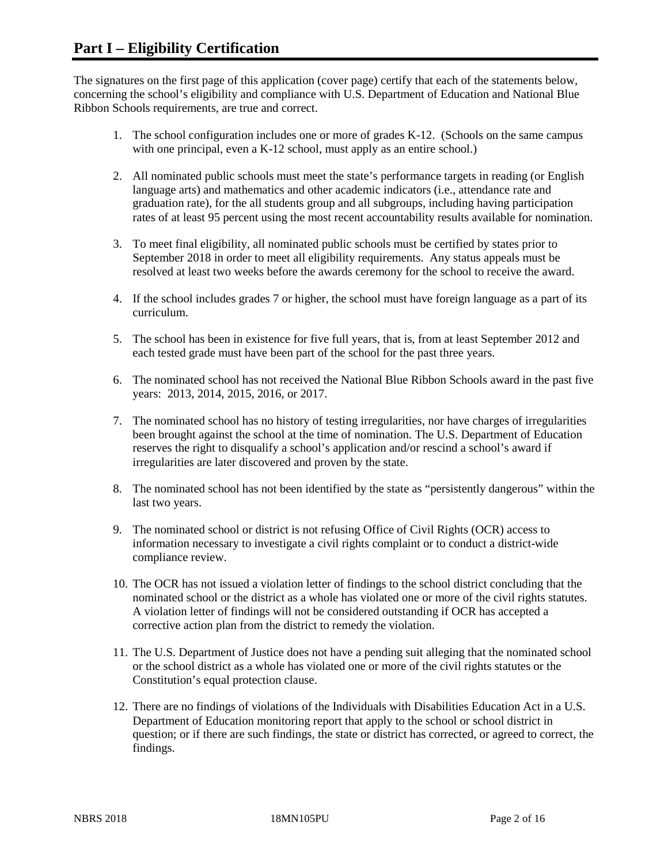The signatures on the first page of this application (cover page) certify that each of the statements below, concerning the school's eligibility and compliance with U.S. Department of Education and National Blue Ribbon Schools requirements, are true and correct.

- 1. The school configuration includes one or more of grades K-12. (Schools on the same campus with one principal, even a K-12 school, must apply as an entire school.)
- 2. All nominated public schools must meet the state's performance targets in reading (or English language arts) and mathematics and other academic indicators (i.e., attendance rate and graduation rate), for the all students group and all subgroups, including having participation rates of at least 95 percent using the most recent accountability results available for nomination.
- 3. To meet final eligibility, all nominated public schools must be certified by states prior to September 2018 in order to meet all eligibility requirements. Any status appeals must be resolved at least two weeks before the awards ceremony for the school to receive the award.
- 4. If the school includes grades 7 or higher, the school must have foreign language as a part of its curriculum.
- 5. The school has been in existence for five full years, that is, from at least September 2012 and each tested grade must have been part of the school for the past three years.
- 6. The nominated school has not received the National Blue Ribbon Schools award in the past five years: 2013, 2014, 2015, 2016, or 2017.
- 7. The nominated school has no history of testing irregularities, nor have charges of irregularities been brought against the school at the time of nomination. The U.S. Department of Education reserves the right to disqualify a school's application and/or rescind a school's award if irregularities are later discovered and proven by the state.
- 8. The nominated school has not been identified by the state as "persistently dangerous" within the last two years.
- 9. The nominated school or district is not refusing Office of Civil Rights (OCR) access to information necessary to investigate a civil rights complaint or to conduct a district-wide compliance review.
- 10. The OCR has not issued a violation letter of findings to the school district concluding that the nominated school or the district as a whole has violated one or more of the civil rights statutes. A violation letter of findings will not be considered outstanding if OCR has accepted a corrective action plan from the district to remedy the violation.
- 11. The U.S. Department of Justice does not have a pending suit alleging that the nominated school or the school district as a whole has violated one or more of the civil rights statutes or the Constitution's equal protection clause.
- 12. There are no findings of violations of the Individuals with Disabilities Education Act in a U.S. Department of Education monitoring report that apply to the school or school district in question; or if there are such findings, the state or district has corrected, or agreed to correct, the findings.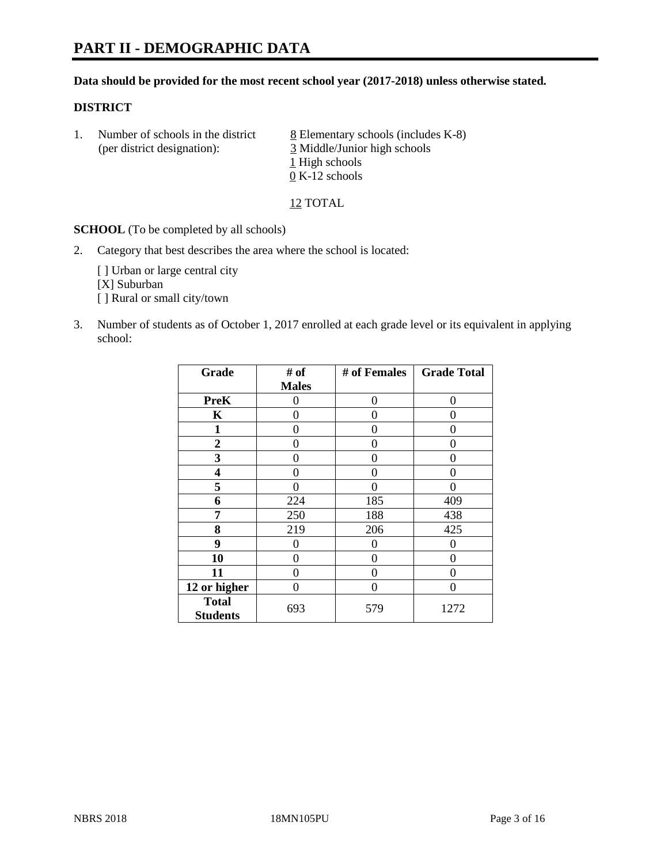#### **Data should be provided for the most recent school year (2017-2018) unless otherwise stated.**

#### **DISTRICT**

1. Number of schools in the district  $8$  Elementary schools (includes K-8) (per district designation): 3 Middle/Junior high schools 1 High schools 0 K-12 schools

12 TOTAL

**SCHOOL** (To be completed by all schools)

2. Category that best describes the area where the school is located:

[] Urban or large central city [X] Suburban [] Rural or small city/town

3. Number of students as of October 1, 2017 enrolled at each grade level or its equivalent in applying school:

| Grade                           | # of         | # of Females | <b>Grade Total</b> |
|---------------------------------|--------------|--------------|--------------------|
|                                 | <b>Males</b> |              |                    |
| <b>PreK</b>                     | 0            | 0            | 0                  |
| K                               | 0            | 0            | 0                  |
| 1                               | 0            | 0            | 0                  |
| 2                               | 0            | 0            | 0                  |
| 3                               | 0            | 0            | 0                  |
| 4                               | 0            | 0            | $\mathbf{\Omega}$  |
| 5                               | 0            | 0            | 0                  |
| 6                               | 224          | 185          | 409                |
| 7                               | 250          | 188          | 438                |
| 8                               | 219          | 206          | 425                |
| 9                               | 0            | 0            | 0                  |
| 10                              | 0            | 0            | 0                  |
| 11                              | 0            | 0            | 0                  |
| 12 or higher                    | 0            | 0            | 0                  |
| <b>Total</b><br><b>Students</b> | 693          | 579          | 1272               |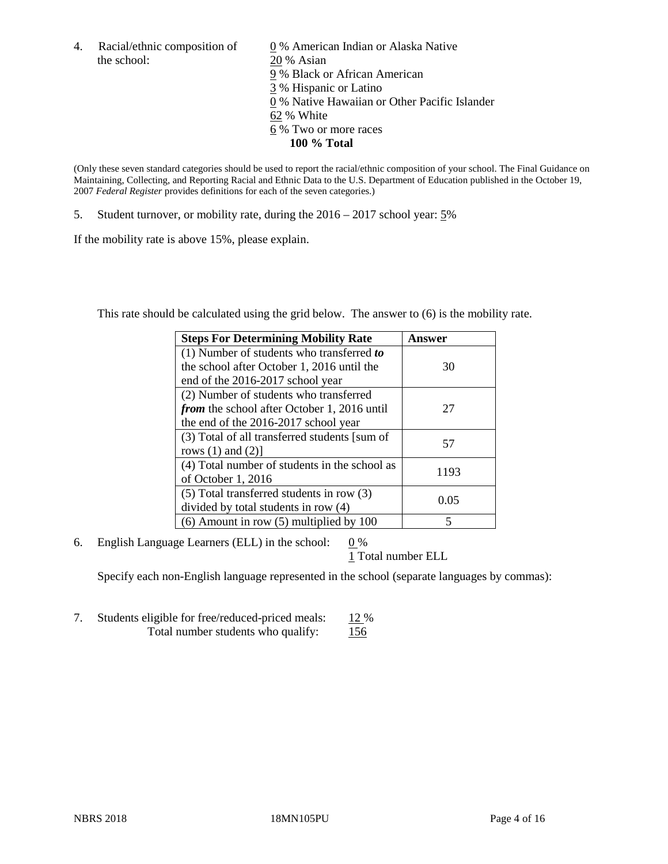4. Racial/ethnic composition of  $\frac{0}{20}$ % American Indian or Alaska Native the school:  $\frac{20}{8}$  Asian 20 % Asian 9 % Black or African American 3 % Hispanic or Latino 0 % Native Hawaiian or Other Pacific Islander 62 % White 6 % Two or more races **100 % Total**

(Only these seven standard categories should be used to report the racial/ethnic composition of your school. The Final Guidance on Maintaining, Collecting, and Reporting Racial and Ethnic Data to the U.S. Department of Education published in the October 19, 2007 *Federal Register* provides definitions for each of the seven categories.)

5. Student turnover, or mobility rate, during the 2016 – 2017 school year: 5%

If the mobility rate is above 15%, please explain.

This rate should be calculated using the grid below. The answer to (6) is the mobility rate.

| <b>Steps For Determining Mobility Rate</b>         | Answer |
|----------------------------------------------------|--------|
| (1) Number of students who transferred to          |        |
| the school after October 1, 2016 until the         | 30     |
| end of the 2016-2017 school year                   |        |
| (2) Number of students who transferred             |        |
| <i>from</i> the school after October 1, 2016 until | 27     |
| the end of the 2016-2017 school year               |        |
| (3) Total of all transferred students [sum of      | 57     |
| rows $(1)$ and $(2)$ ]                             |        |
| (4) Total number of students in the school as      |        |
| of October 1, 2016                                 | 1193   |
| (5) Total transferred students in row (3)          |        |
| divided by total students in row (4)               | 0.05   |
| $(6)$ Amount in row $(5)$ multiplied by 100        | 5      |

6. English Language Learners (ELL) in the school:  $0\%$ 

1 Total number ELL

Specify each non-English language represented in the school (separate languages by commas):

7. Students eligible for free/reduced-priced meals: 12 % Total number students who qualify: 156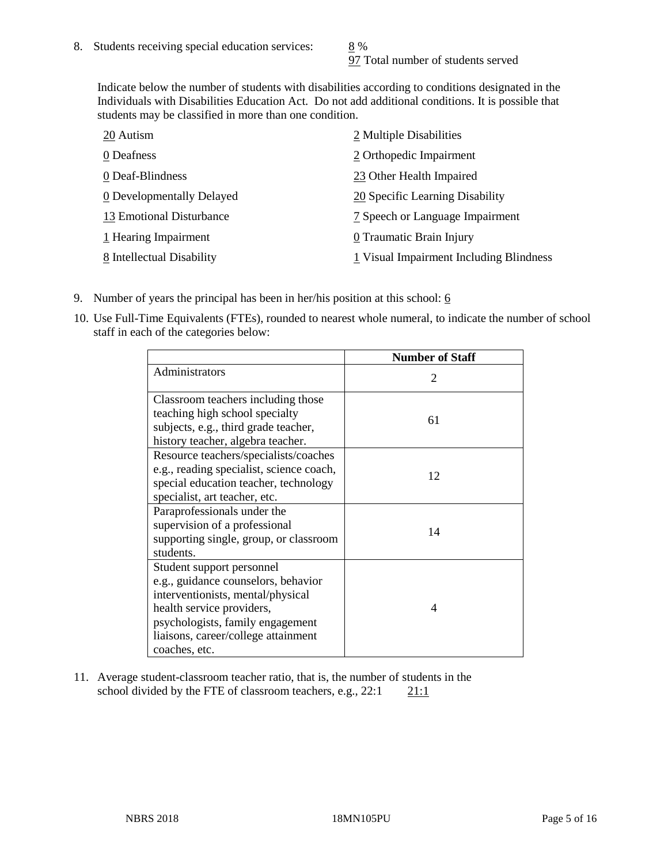97 Total number of students served

Indicate below the number of students with disabilities according to conditions designated in the Individuals with Disabilities Education Act. Do not add additional conditions. It is possible that students may be classified in more than one condition.

| 20 Autism                 | 2 Multiple Disabilities                 |
|---------------------------|-----------------------------------------|
| 0 Deafness                | 2 Orthopedic Impairment                 |
| 0 Deaf-Blindness          | 23 Other Health Impaired                |
| 0 Developmentally Delayed | 20 Specific Learning Disability         |
| 13 Emotional Disturbance  | 7 Speech or Language Impairment         |
| 1 Hearing Impairment      | 0 Traumatic Brain Injury                |
| 8 Intellectual Disability | 1 Visual Impairment Including Blindness |

- 9. Number of years the principal has been in her/his position at this school:  $6$
- 10. Use Full-Time Equivalents (FTEs), rounded to nearest whole numeral, to indicate the number of school staff in each of the categories below:

|                                                                                                                                                                                                                                | <b>Number of Staff</b>      |
|--------------------------------------------------------------------------------------------------------------------------------------------------------------------------------------------------------------------------------|-----------------------------|
| Administrators                                                                                                                                                                                                                 | $\mathcal{D}_{\mathcal{L}}$ |
| Classroom teachers including those<br>teaching high school specialty<br>subjects, e.g., third grade teacher,<br>history teacher, algebra teacher.                                                                              | 61                          |
| Resource teachers/specialists/coaches<br>e.g., reading specialist, science coach,<br>special education teacher, technology<br>specialist, art teacher, etc.                                                                    | 12                          |
| Paraprofessionals under the<br>supervision of a professional<br>supporting single, group, or classroom<br>students.                                                                                                            | 14                          |
| Student support personnel<br>e.g., guidance counselors, behavior<br>interventionists, mental/physical<br>health service providers,<br>psychologists, family engagement<br>liaisons, career/college attainment<br>coaches, etc. | 4                           |

11. Average student-classroom teacher ratio, that is, the number of students in the school divided by the FTE of classroom teachers, e.g.,  $22:1$  21:1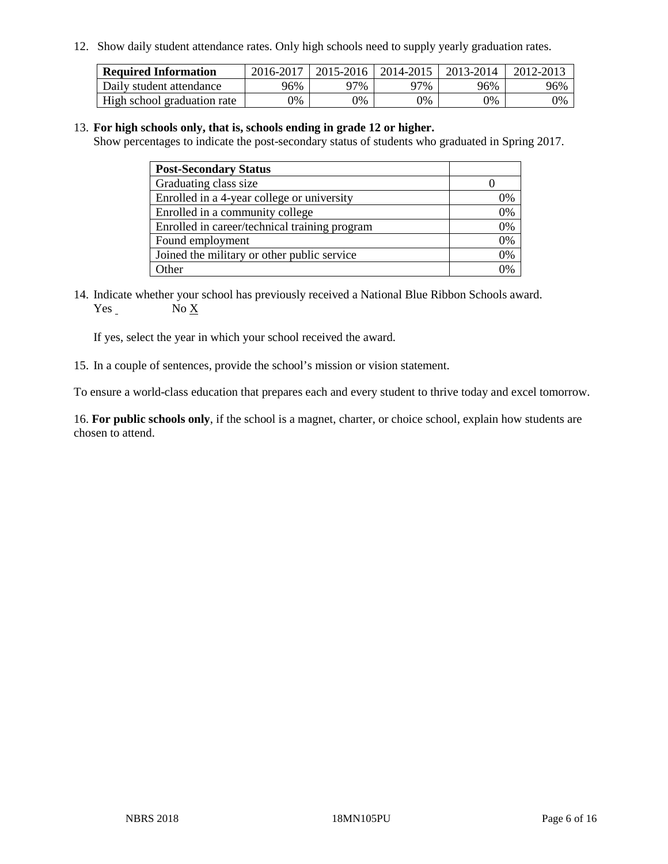12. Show daily student attendance rates. Only high schools need to supply yearly graduation rates.

| <b>Required Information</b> | 2016-2017 | $2015 - 2016$ | 2014-2015 | 2013-2014 | 2012-2013 |
|-----------------------------|-----------|---------------|-----------|-----------|-----------|
| Daily student attendance    | 96%       | 97%           | 97%       | 96%       | 96%       |
| High school graduation rate | 0%        | 0%            | 0%        | 9%        | 0%        |

#### 13. **For high schools only, that is, schools ending in grade 12 or higher.**

Show percentages to indicate the post-secondary status of students who graduated in Spring 2017.

| <b>Post-Secondary Status</b>                  |              |
|-----------------------------------------------|--------------|
| Graduating class size                         |              |
| Enrolled in a 4-year college or university    | 0%           |
| Enrolled in a community college               | 0%           |
| Enrolled in career/technical training program | 0%           |
| Found employment                              | 0%           |
| Joined the military or other public service   | 0%           |
| Other                                         | $\gamma_{0}$ |

14. Indicate whether your school has previously received a National Blue Ribbon Schools award. Yes No X

If yes, select the year in which your school received the award.

15. In a couple of sentences, provide the school's mission or vision statement.

To ensure a world-class education that prepares each and every student to thrive today and excel tomorrow.

16. **For public schools only**, if the school is a magnet, charter, or choice school, explain how students are chosen to attend.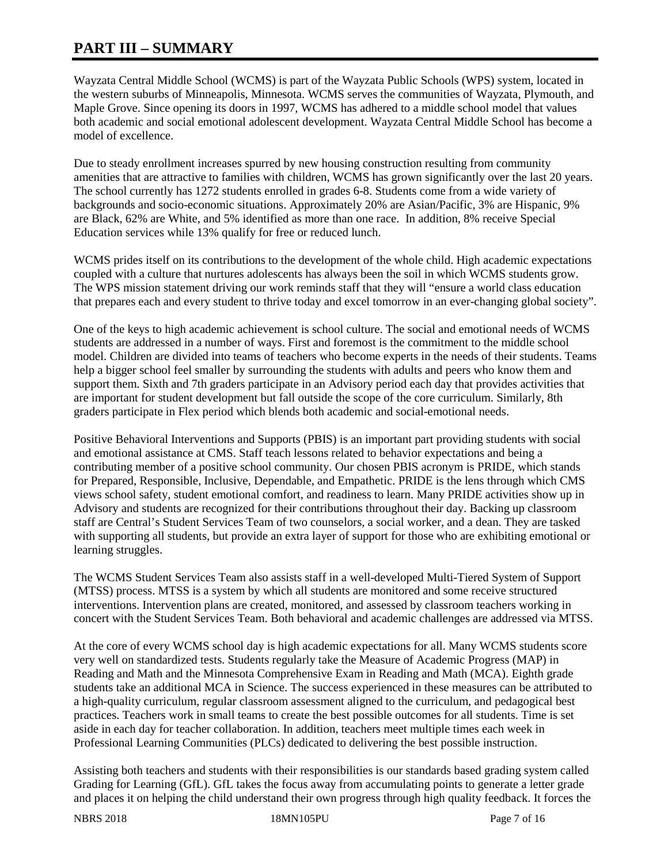# **PART III – SUMMARY**

Wayzata Central Middle School (WCMS) is part of the Wayzata Public Schools (WPS) system, located in the western suburbs of Minneapolis, Minnesota. WCMS serves the communities of Wayzata, Plymouth, and Maple Grove. Since opening its doors in 1997, WCMS has adhered to a middle school model that values both academic and social emotional adolescent development. Wayzata Central Middle School has become a model of excellence.

Due to steady enrollment increases spurred by new housing construction resulting from community amenities that are attractive to families with children, WCMS has grown significantly over the last 20 years. The school currently has 1272 students enrolled in grades 6-8. Students come from a wide variety of backgrounds and socio-economic situations. Approximately 20% are Asian/Pacific, 3% are Hispanic, 9% are Black, 62% are White, and 5% identified as more than one race. In addition, 8% receive Special Education services while 13% qualify for free or reduced lunch.

WCMS prides itself on its contributions to the development of the whole child. High academic expectations coupled with a culture that nurtures adolescents has always been the soil in which WCMS students grow. The WPS mission statement driving our work reminds staff that they will "ensure a world class education that prepares each and every student to thrive today and excel tomorrow in an ever-changing global society".

One of the keys to high academic achievement is school culture. The social and emotional needs of WCMS students are addressed in a number of ways. First and foremost is the commitment to the middle school model. Children are divided into teams of teachers who become experts in the needs of their students. Teams help a bigger school feel smaller by surrounding the students with adults and peers who know them and support them. Sixth and 7th graders participate in an Advisory period each day that provides activities that are important for student development but fall outside the scope of the core curriculum. Similarly, 8th graders participate in Flex period which blends both academic and social-emotional needs.

Positive Behavioral Interventions and Supports (PBIS) is an important part providing students with social and emotional assistance at CMS. Staff teach lessons related to behavior expectations and being a contributing member of a positive school community. Our chosen PBIS acronym is PRIDE, which stands for Prepared, Responsible, Inclusive, Dependable, and Empathetic. PRIDE is the lens through which CMS views school safety, student emotional comfort, and readiness to learn. Many PRIDE activities show up in Advisory and students are recognized for their contributions throughout their day. Backing up classroom staff are Central's Student Services Team of two counselors, a social worker, and a dean. They are tasked with supporting all students, but provide an extra layer of support for those who are exhibiting emotional or learning struggles.

The WCMS Student Services Team also assists staff in a well-developed Multi-Tiered System of Support (MTSS) process. MTSS is a system by which all students are monitored and some receive structured interventions. Intervention plans are created, monitored, and assessed by classroom teachers working in concert with the Student Services Team. Both behavioral and academic challenges are addressed via MTSS.

At the core of every WCMS school day is high academic expectations for all. Many WCMS students score very well on standardized tests. Students regularly take the Measure of Academic Progress (MAP) in Reading and Math and the Minnesota Comprehensive Exam in Reading and Math (MCA). Eighth grade students take an additional MCA in Science. The success experienced in these measures can be attributed to a high-quality curriculum, regular classroom assessment aligned to the curriculum, and pedagogical best practices. Teachers work in small teams to create the best possible outcomes for all students. Time is set aside in each day for teacher collaboration. In addition, teachers meet multiple times each week in Professional Learning Communities (PLCs) dedicated to delivering the best possible instruction.

Assisting both teachers and students with their responsibilities is our standards based grading system called Grading for Learning (GfL). GfL takes the focus away from accumulating points to generate a letter grade and places it on helping the child understand their own progress through high quality feedback. It forces the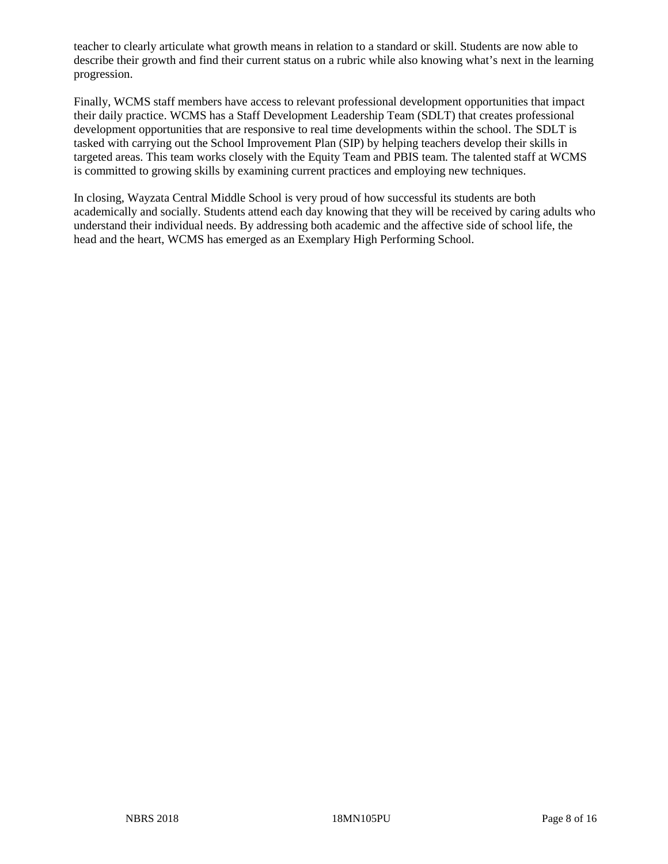teacher to clearly articulate what growth means in relation to a standard or skill. Students are now able to describe their growth and find their current status on a rubric while also knowing what's next in the learning progression.

Finally, WCMS staff members have access to relevant professional development opportunities that impact their daily practice. WCMS has a Staff Development Leadership Team (SDLT) that creates professional development opportunities that are responsive to real time developments within the school. The SDLT is tasked with carrying out the School Improvement Plan (SIP) by helping teachers develop their skills in targeted areas. This team works closely with the Equity Team and PBIS team. The talented staff at WCMS is committed to growing skills by examining current practices and employing new techniques.

In closing, Wayzata Central Middle School is very proud of how successful its students are both academically and socially. Students attend each day knowing that they will be received by caring adults who understand their individual needs. By addressing both academic and the affective side of school life, the head and the heart, WCMS has emerged as an Exemplary High Performing School.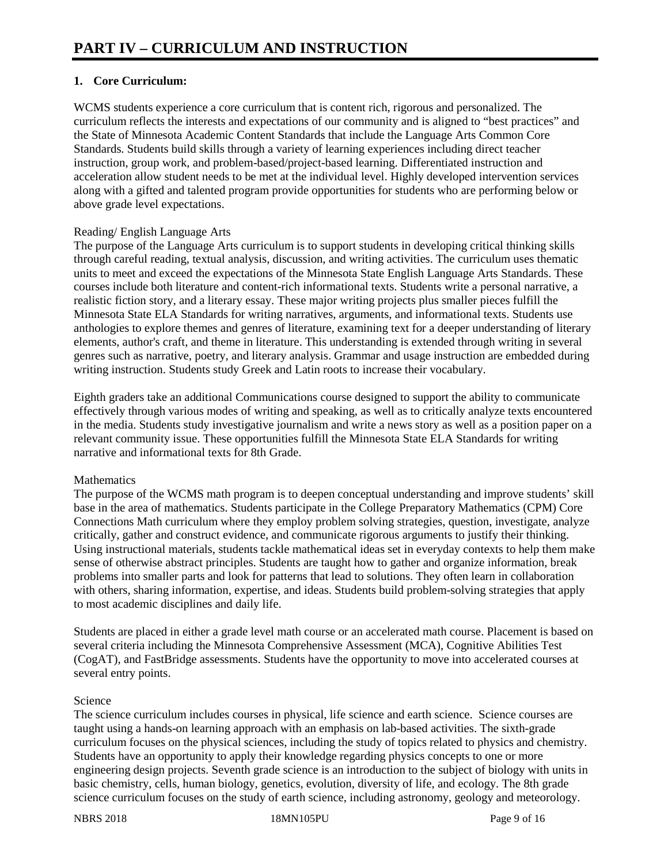# **1. Core Curriculum:**

WCMS students experience a core curriculum that is content rich, rigorous and personalized. The curriculum reflects the interests and expectations of our community and is aligned to "best practices" and the State of Minnesota Academic Content Standards that include the Language Arts Common Core Standards. Students build skills through a variety of learning experiences including direct teacher instruction, group work, and problem-based/project-based learning. Differentiated instruction and acceleration allow student needs to be met at the individual level. Highly developed intervention services along with a gifted and talented program provide opportunities for students who are performing below or above grade level expectations.

### Reading/ English Language Arts

The purpose of the Language Arts curriculum is to support students in developing critical thinking skills through careful reading, textual analysis, discussion, and writing activities. The curriculum uses thematic units to meet and exceed the expectations of the Minnesota State English Language Arts Standards. These courses include both literature and content-rich informational texts. Students write a personal narrative, a realistic fiction story, and a literary essay. These major writing projects plus smaller pieces fulfill the Minnesota State ELA Standards for writing narratives, arguments, and informational texts. Students use anthologies to explore themes and genres of literature, examining text for a deeper understanding of literary elements, author's craft, and theme in literature. This understanding is extended through writing in several genres such as narrative, poetry, and literary analysis. Grammar and usage instruction are embedded during writing instruction. Students study Greek and Latin roots to increase their vocabulary.

Eighth graders take an additional Communications course designed to support the ability to communicate effectively through various modes of writing and speaking, as well as to critically analyze texts encountered in the media. Students study investigative journalism and write a news story as well as a position paper on a relevant community issue. These opportunities fulfill the Minnesota State ELA Standards for writing narrative and informational texts for 8th Grade.

#### **Mathematics**

The purpose of the WCMS math program is to deepen conceptual understanding and improve students' skill base in the area of mathematics. Students participate in the College Preparatory Mathematics (CPM) Core Connections Math curriculum where they employ problem solving strategies, question, investigate, analyze critically, gather and construct evidence, and communicate rigorous arguments to justify their thinking. Using instructional materials, students tackle mathematical ideas set in everyday contexts to help them make sense of otherwise abstract principles. Students are taught how to gather and organize information, break problems into smaller parts and look for patterns that lead to solutions. They often learn in collaboration with others, sharing information, expertise, and ideas. Students build problem-solving strategies that apply to most academic disciplines and daily life.

Students are placed in either a grade level math course or an accelerated math course. Placement is based on several criteria including the Minnesota Comprehensive Assessment (MCA), Cognitive Abilities Test (CogAT), and FastBridge assessments. Students have the opportunity to move into accelerated courses at several entry points.

# Science

The science curriculum includes courses in physical, life science and earth science. Science courses are taught using a hands-on learning approach with an emphasis on lab-based activities. The sixth-grade curriculum focuses on the physical sciences, including the study of topics related to physics and chemistry. Students have an opportunity to apply their knowledge regarding physics concepts to one or more engineering design projects. Seventh grade science is an introduction to the subject of biology with units in basic chemistry, cells, human biology, genetics, evolution, diversity of life, and ecology. The 8th grade science curriculum focuses on the study of earth science, including astronomy, geology and meteorology.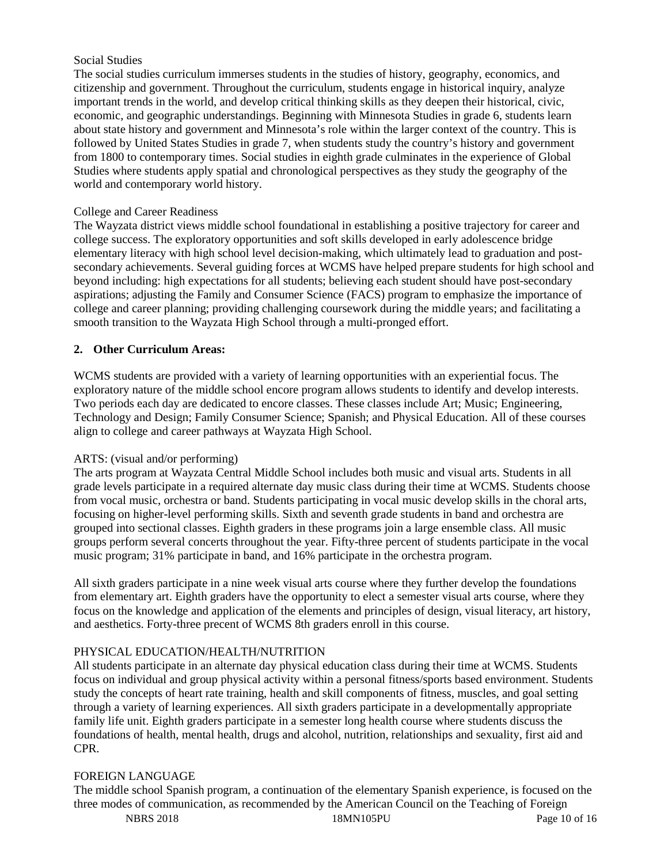#### Social Studies

The social studies curriculum immerses students in the studies of history, geography, economics, and citizenship and government. Throughout the curriculum, students engage in historical inquiry, analyze important trends in the world, and develop critical thinking skills as they deepen their historical, civic, economic, and geographic understandings. Beginning with Minnesota Studies in grade 6, students learn about state history and government and Minnesota's role within the larger context of the country. This is followed by United States Studies in grade 7, when students study the country's history and government from 1800 to contemporary times. Social studies in eighth grade culminates in the experience of Global Studies where students apply spatial and chronological perspectives as they study the geography of the world and contemporary world history.

#### College and Career Readiness

The Wayzata district views middle school foundational in establishing a positive trajectory for career and college success. The exploratory opportunities and soft skills developed in early adolescence bridge elementary literacy with high school level decision-making, which ultimately lead to graduation and postsecondary achievements. Several guiding forces at WCMS have helped prepare students for high school and beyond including: high expectations for all students; believing each student should have post-secondary aspirations; adjusting the Family and Consumer Science (FACS) program to emphasize the importance of college and career planning; providing challenging coursework during the middle years; and facilitating a smooth transition to the Wayzata High School through a multi-pronged effort.

#### **2. Other Curriculum Areas:**

WCMS students are provided with a variety of learning opportunities with an experiential focus. The exploratory nature of the middle school encore program allows students to identify and develop interests. Two periods each day are dedicated to encore classes. These classes include Art; Music; Engineering, Technology and Design; Family Consumer Science; Spanish; and Physical Education. All of these courses align to college and career pathways at Wayzata High School.

#### ARTS: (visual and/or performing)

The arts program at Wayzata Central Middle School includes both music and visual arts. Students in all grade levels participate in a required alternate day music class during their time at WCMS. Students choose from vocal music, orchestra or band. Students participating in vocal music develop skills in the choral arts, focusing on higher-level performing skills. Sixth and seventh grade students in band and orchestra are grouped into sectional classes. Eighth graders in these programs join a large ensemble class. All music groups perform several concerts throughout the year. Fifty-three percent of students participate in the vocal music program; 31% participate in band, and 16% participate in the orchestra program.

All sixth graders participate in a nine week visual arts course where they further develop the foundations from elementary art. Eighth graders have the opportunity to elect a semester visual arts course, where they focus on the knowledge and application of the elements and principles of design, visual literacy, art history, and aesthetics. Forty-three precent of WCMS 8th graders enroll in this course.

#### PHYSICAL EDUCATION/HEALTH/NUTRITION

All students participate in an alternate day physical education class during their time at WCMS. Students focus on individual and group physical activity within a personal fitness/sports based environment. Students study the concepts of heart rate training, health and skill components of fitness, muscles, and goal setting through a variety of learning experiences. All sixth graders participate in a developmentally appropriate family life unit. Eighth graders participate in a semester long health course where students discuss the foundations of health, mental health, drugs and alcohol, nutrition, relationships and sexuality, first aid and CPR.

#### FOREIGN LANGUAGE

The middle school Spanish program, a continuation of the elementary Spanish experience, is focused on the three modes of communication, as recommended by the American Council on the Teaching of Foreign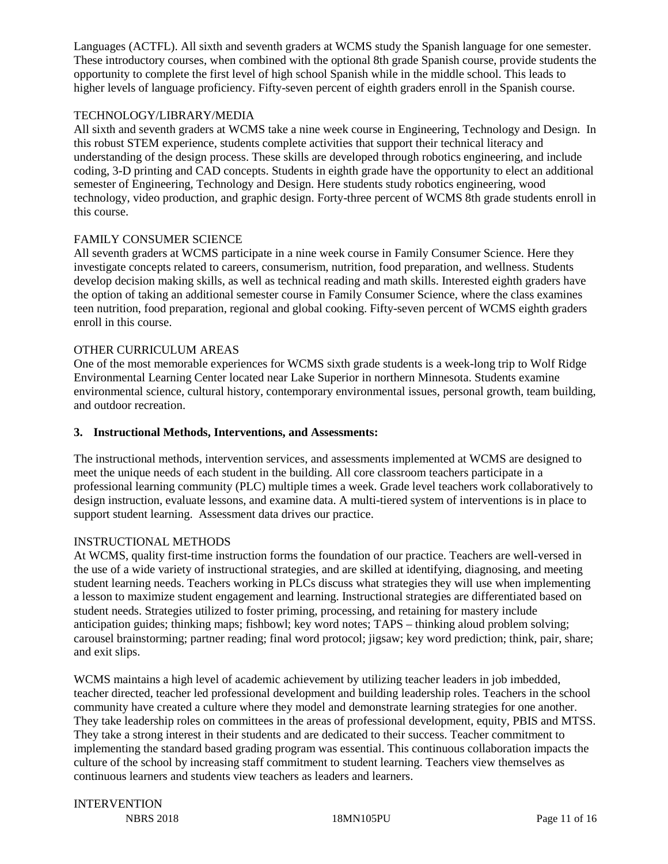Languages (ACTFL). All sixth and seventh graders at WCMS study the Spanish language for one semester. These introductory courses, when combined with the optional 8th grade Spanish course, provide students the opportunity to complete the first level of high school Spanish while in the middle school. This leads to higher levels of language proficiency. Fifty-seven percent of eighth graders enroll in the Spanish course.

#### TECHNOLOGY/LIBRARY/MEDIA

All sixth and seventh graders at WCMS take a nine week course in Engineering, Technology and Design. In this robust STEM experience, students complete activities that support their technical literacy and understanding of the design process. These skills are developed through robotics engineering, and include coding, 3-D printing and CAD concepts. Students in eighth grade have the opportunity to elect an additional semester of Engineering, Technology and Design. Here students study robotics engineering, wood technology, video production, and graphic design. Forty-three percent of WCMS 8th grade students enroll in this course.

### FAMILY CONSUMER SCIENCE

All seventh graders at WCMS participate in a nine week course in Family Consumer Science. Here they investigate concepts related to careers, consumerism, nutrition, food preparation, and wellness. Students develop decision making skills, as well as technical reading and math skills. Interested eighth graders have the option of taking an additional semester course in Family Consumer Science, where the class examines teen nutrition, food preparation, regional and global cooking. Fifty-seven percent of WCMS eighth graders enroll in this course.

#### OTHER CURRICULUM AREAS

One of the most memorable experiences for WCMS sixth grade students is a week-long trip to Wolf Ridge Environmental Learning Center located near Lake Superior in northern Minnesota. Students examine environmental science, cultural history, contemporary environmental issues, personal growth, team building, and outdoor recreation.

#### **3. Instructional Methods, Interventions, and Assessments:**

The instructional methods, intervention services, and assessments implemented at WCMS are designed to meet the unique needs of each student in the building. All core classroom teachers participate in a professional learning community (PLC) multiple times a week. Grade level teachers work collaboratively to design instruction, evaluate lessons, and examine data. A multi-tiered system of interventions is in place to support student learning. Assessment data drives our practice.

#### INSTRUCTIONAL METHODS

At WCMS, quality first-time instruction forms the foundation of our practice. Teachers are well-versed in the use of a wide variety of instructional strategies, and are skilled at identifying, diagnosing, and meeting student learning needs. Teachers working in PLCs discuss what strategies they will use when implementing a lesson to maximize student engagement and learning. Instructional strategies are differentiated based on student needs. Strategies utilized to foster priming, processing, and retaining for mastery include anticipation guides; thinking maps; fishbowl; key word notes; TAPS – thinking aloud problem solving; carousel brainstorming; partner reading; final word protocol; jigsaw; key word prediction; think, pair, share; and exit slips.

WCMS maintains a high level of academic achievement by utilizing teacher leaders in job imbedded, teacher directed, teacher led professional development and building leadership roles. Teachers in the school community have created a culture where they model and demonstrate learning strategies for one another. They take leadership roles on committees in the areas of professional development, equity, PBIS and MTSS. They take a strong interest in their students and are dedicated to their success. Teacher commitment to implementing the standard based grading program was essential. This continuous collaboration impacts the culture of the school by increasing staff commitment to student learning. Teachers view themselves as continuous learners and students view teachers as leaders and learners.

# INTERVENTION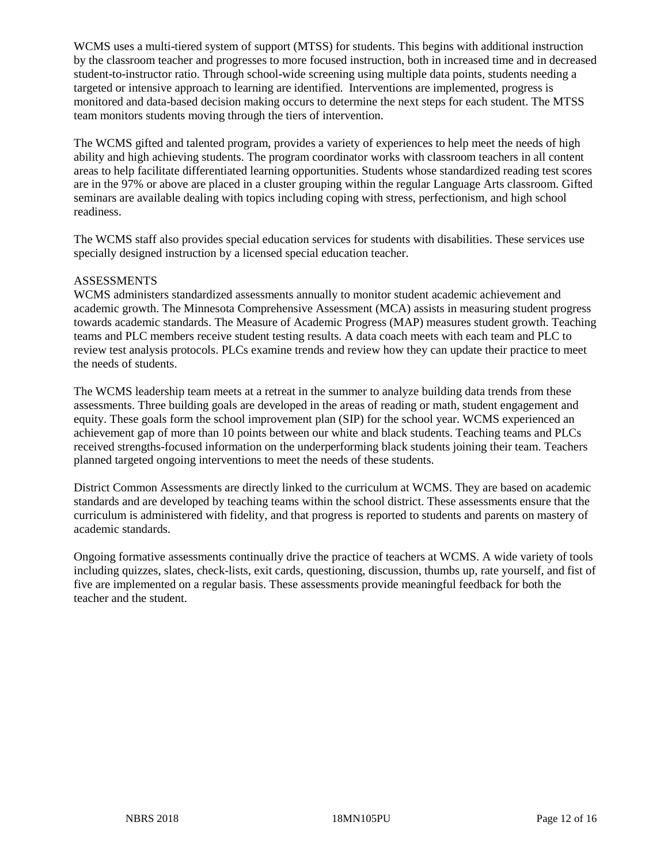WCMS uses a multi-tiered system of support (MTSS) for students. This begins with additional instruction by the classroom teacher and progresses to more focused instruction, both in increased time and in decreased student-to-instructor ratio. Through school-wide screening using multiple data points, students needing a targeted or intensive approach to learning are identified. Interventions are implemented, progress is monitored and data-based decision making occurs to determine the next steps for each student. The MTSS team monitors students moving through the tiers of intervention.

The WCMS gifted and talented program, provides a variety of experiences to help meet the needs of high ability and high achieving students. The program coordinator works with classroom teachers in all content areas to help facilitate differentiated learning opportunities. Students whose standardized reading test scores are in the 97% or above are placed in a cluster grouping within the regular Language Arts classroom. Gifted seminars are available dealing with topics including coping with stress, perfectionism, and high school readiness.

The WCMS staff also provides special education services for students with disabilities. These services use specially designed instruction by a licensed special education teacher.

#### **ASSESSMENTS**

WCMS administers standardized assessments annually to monitor student academic achievement and academic growth. The Minnesota Comprehensive Assessment (MCA) assists in measuring student progress towards academic standards. The Measure of Academic Progress (MAP) measures student growth. Teaching teams and PLC members receive student testing results. A data coach meets with each team and PLC to review test analysis protocols. PLCs examine trends and review how they can update their practice to meet the needs of students.

The WCMS leadership team meets at a retreat in the summer to analyze building data trends from these assessments. Three building goals are developed in the areas of reading or math, student engagement and equity. These goals form the school improvement plan (SIP) for the school year. WCMS experienced an achievement gap of more than 10 points between our white and black students. Teaching teams and PLCs received strengths-focused information on the underperforming black students joining their team. Teachers planned targeted ongoing interventions to meet the needs of these students.

District Common Assessments are directly linked to the curriculum at WCMS. They are based on academic standards and are developed by teaching teams within the school district. These assessments ensure that the curriculum is administered with fidelity, and that progress is reported to students and parents on mastery of academic standards.

Ongoing formative assessments continually drive the practice of teachers at WCMS. A wide variety of tools including quizzes, slates, check-lists, exit cards, questioning, discussion, thumbs up, rate yourself, and fist of five are implemented on a regular basis. These assessments provide meaningful feedback for both the teacher and the student.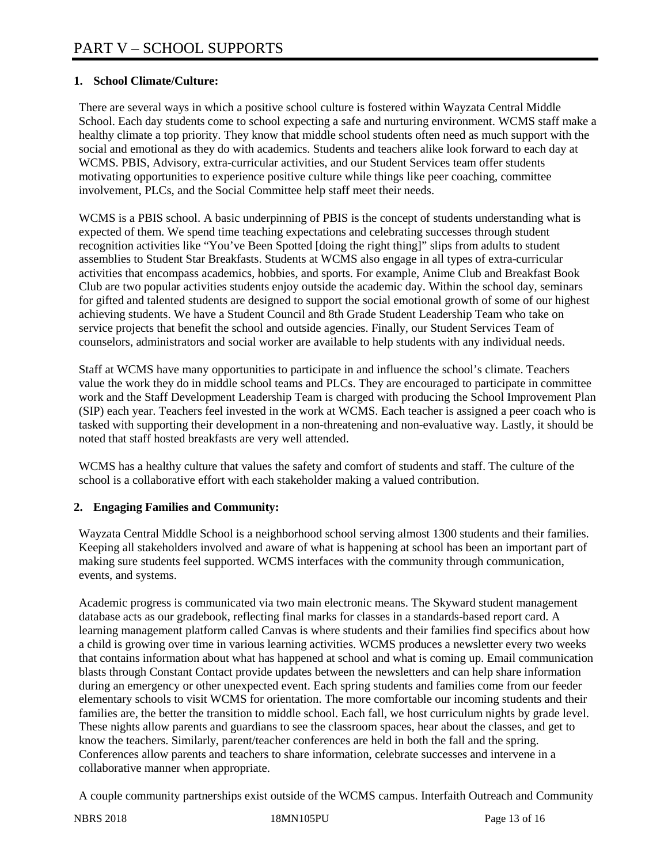# **1. School Climate/Culture:**

There are several ways in which a positive school culture is fostered within Wayzata Central Middle School. Each day students come to school expecting a safe and nurturing environment. WCMS staff make a healthy climate a top priority. They know that middle school students often need as much support with the social and emotional as they do with academics. Students and teachers alike look forward to each day at WCMS. PBIS, Advisory, extra-curricular activities, and our Student Services team offer students motivating opportunities to experience positive culture while things like peer coaching, committee involvement, PLCs, and the Social Committee help staff meet their needs.

WCMS is a PBIS school. A basic underpinning of PBIS is the concept of students understanding what is expected of them. We spend time teaching expectations and celebrating successes through student recognition activities like "You've Been Spotted [doing the right thing]" slips from adults to student assemblies to Student Star Breakfasts. Students at WCMS also engage in all types of extra-curricular activities that encompass academics, hobbies, and sports. For example, Anime Club and Breakfast Book Club are two popular activities students enjoy outside the academic day. Within the school day, seminars for gifted and talented students are designed to support the social emotional growth of some of our highest achieving students. We have a Student Council and 8th Grade Student Leadership Team who take on service projects that benefit the school and outside agencies. Finally, our Student Services Team of counselors, administrators and social worker are available to help students with any individual needs.

Staff at WCMS have many opportunities to participate in and influence the school's climate. Teachers value the work they do in middle school teams and PLCs. They are encouraged to participate in committee work and the Staff Development Leadership Team is charged with producing the School Improvement Plan (SIP) each year. Teachers feel invested in the work at WCMS. Each teacher is assigned a peer coach who is tasked with supporting their development in a non-threatening and non-evaluative way. Lastly, it should be noted that staff hosted breakfasts are very well attended.

WCMS has a healthy culture that values the safety and comfort of students and staff. The culture of the school is a collaborative effort with each stakeholder making a valued contribution.

# **2. Engaging Families and Community:**

Wayzata Central Middle School is a neighborhood school serving almost 1300 students and their families. Keeping all stakeholders involved and aware of what is happening at school has been an important part of making sure students feel supported. WCMS interfaces with the community through communication, events, and systems.

Academic progress is communicated via two main electronic means. The Skyward student management database acts as our gradebook, reflecting final marks for classes in a standards-based report card. A learning management platform called Canvas is where students and their families find specifics about how a child is growing over time in various learning activities. WCMS produces a newsletter every two weeks that contains information about what has happened at school and what is coming up. Email communication blasts through Constant Contact provide updates between the newsletters and can help share information during an emergency or other unexpected event. Each spring students and families come from our feeder elementary schools to visit WCMS for orientation. The more comfortable our incoming students and their families are, the better the transition to middle school. Each fall, we host curriculum nights by grade level. These nights allow parents and guardians to see the classroom spaces, hear about the classes, and get to know the teachers. Similarly, parent/teacher conferences are held in both the fall and the spring. Conferences allow parents and teachers to share information, celebrate successes and intervene in a collaborative manner when appropriate.

A couple community partnerships exist outside of the WCMS campus. Interfaith Outreach and Community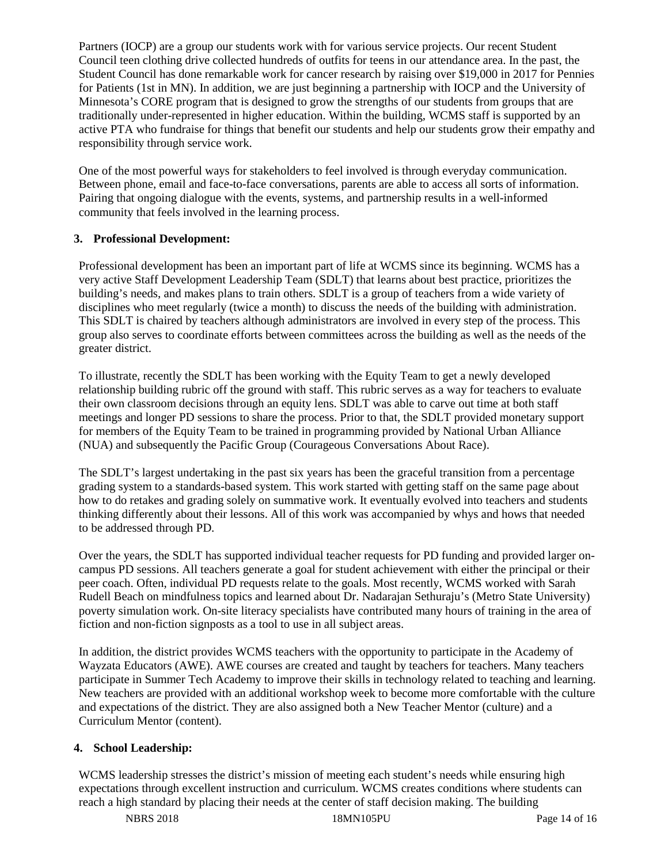Partners (IOCP) are a group our students work with for various service projects. Our recent Student Council teen clothing drive collected hundreds of outfits for teens in our attendance area. In the past, the Student Council has done remarkable work for cancer research by raising over \$19,000 in 2017 for Pennies for Patients (1st in MN). In addition, we are just beginning a partnership with IOCP and the University of Minnesota's CORE program that is designed to grow the strengths of our students from groups that are traditionally under-represented in higher education. Within the building, WCMS staff is supported by an active PTA who fundraise for things that benefit our students and help our students grow their empathy and responsibility through service work.

One of the most powerful ways for stakeholders to feel involved is through everyday communication. Between phone, email and face-to-face conversations, parents are able to access all sorts of information. Pairing that ongoing dialogue with the events, systems, and partnership results in a well-informed community that feels involved in the learning process.

#### **3. Professional Development:**

Professional development has been an important part of life at WCMS since its beginning. WCMS has a very active Staff Development Leadership Team (SDLT) that learns about best practice, prioritizes the building's needs, and makes plans to train others. SDLT is a group of teachers from a wide variety of disciplines who meet regularly (twice a month) to discuss the needs of the building with administration. This SDLT is chaired by teachers although administrators are involved in every step of the process. This group also serves to coordinate efforts between committees across the building as well as the needs of the greater district.

To illustrate, recently the SDLT has been working with the Equity Team to get a newly developed relationship building rubric off the ground with staff. This rubric serves as a way for teachers to evaluate their own classroom decisions through an equity lens. SDLT was able to carve out time at both staff meetings and longer PD sessions to share the process. Prior to that, the SDLT provided monetary support for members of the Equity Team to be trained in programming provided by National Urban Alliance (NUA) and subsequently the Pacific Group (Courageous Conversations About Race).

The SDLT's largest undertaking in the past six years has been the graceful transition from a percentage grading system to a standards-based system. This work started with getting staff on the same page about how to do retakes and grading solely on summative work. It eventually evolved into teachers and students thinking differently about their lessons. All of this work was accompanied by whys and hows that needed to be addressed through PD.

Over the years, the SDLT has supported individual teacher requests for PD funding and provided larger oncampus PD sessions. All teachers generate a goal for student achievement with either the principal or their peer coach. Often, individual PD requests relate to the goals. Most recently, WCMS worked with Sarah Rudell Beach on mindfulness topics and learned about Dr. Nadarajan Sethuraju's (Metro State University) poverty simulation work. On-site literacy specialists have contributed many hours of training in the area of fiction and non-fiction signposts as a tool to use in all subject areas.

In addition, the district provides WCMS teachers with the opportunity to participate in the Academy of Wayzata Educators (AWE). AWE courses are created and taught by teachers for teachers. Many teachers participate in Summer Tech Academy to improve their skills in technology related to teaching and learning. New teachers are provided with an additional workshop week to become more comfortable with the culture and expectations of the district. They are also assigned both a New Teacher Mentor (culture) and a Curriculum Mentor (content).

# **4. School Leadership:**

WCMS leadership stresses the district's mission of meeting each student's needs while ensuring high expectations through excellent instruction and curriculum. WCMS creates conditions where students can reach a high standard by placing their needs at the center of staff decision making. The building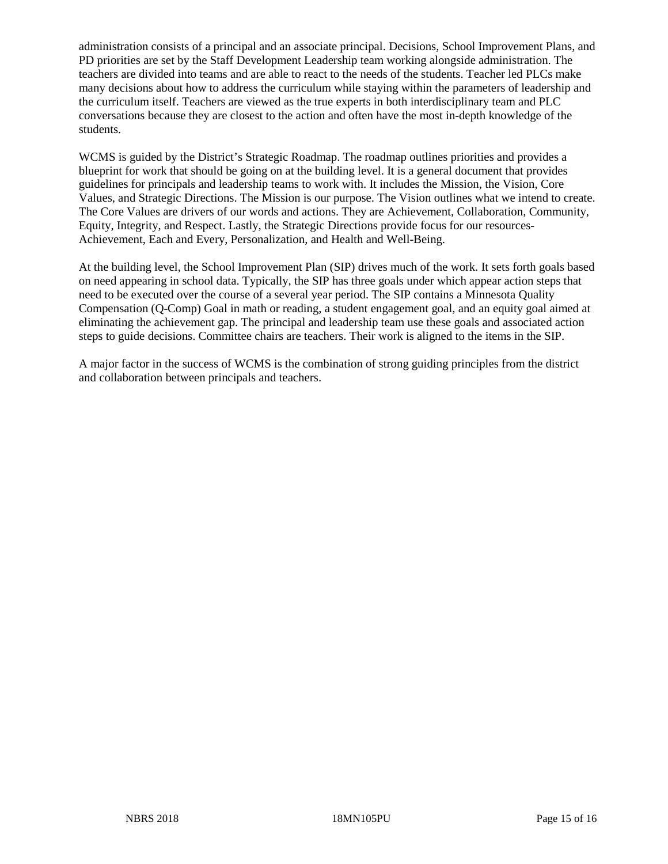administration consists of a principal and an associate principal. Decisions, School Improvement Plans, and PD priorities are set by the Staff Development Leadership team working alongside administration. The teachers are divided into teams and are able to react to the needs of the students. Teacher led PLCs make many decisions about how to address the curriculum while staying within the parameters of leadership and the curriculum itself. Teachers are viewed as the true experts in both interdisciplinary team and PLC conversations because they are closest to the action and often have the most in-depth knowledge of the students.

WCMS is guided by the District's Strategic Roadmap. The roadmap outlines priorities and provides a blueprint for work that should be going on at the building level. It is a general document that provides guidelines for principals and leadership teams to work with. It includes the Mission, the Vision, Core Values, and Strategic Directions. The Mission is our purpose. The Vision outlines what we intend to create. The Core Values are drivers of our words and actions. They are Achievement, Collaboration, Community, Equity, Integrity, and Respect. Lastly, the Strategic Directions provide focus for our resources-Achievement, Each and Every, Personalization, and Health and Well-Being.

At the building level, the School Improvement Plan (SIP) drives much of the work. It sets forth goals based on need appearing in school data. Typically, the SIP has three goals under which appear action steps that need to be executed over the course of a several year period. The SIP contains a Minnesota Quality Compensation (Q-Comp) Goal in math or reading, a student engagement goal, and an equity goal aimed at eliminating the achievement gap. The principal and leadership team use these goals and associated action steps to guide decisions. Committee chairs are teachers. Their work is aligned to the items in the SIP.

A major factor in the success of WCMS is the combination of strong guiding principles from the district and collaboration between principals and teachers.